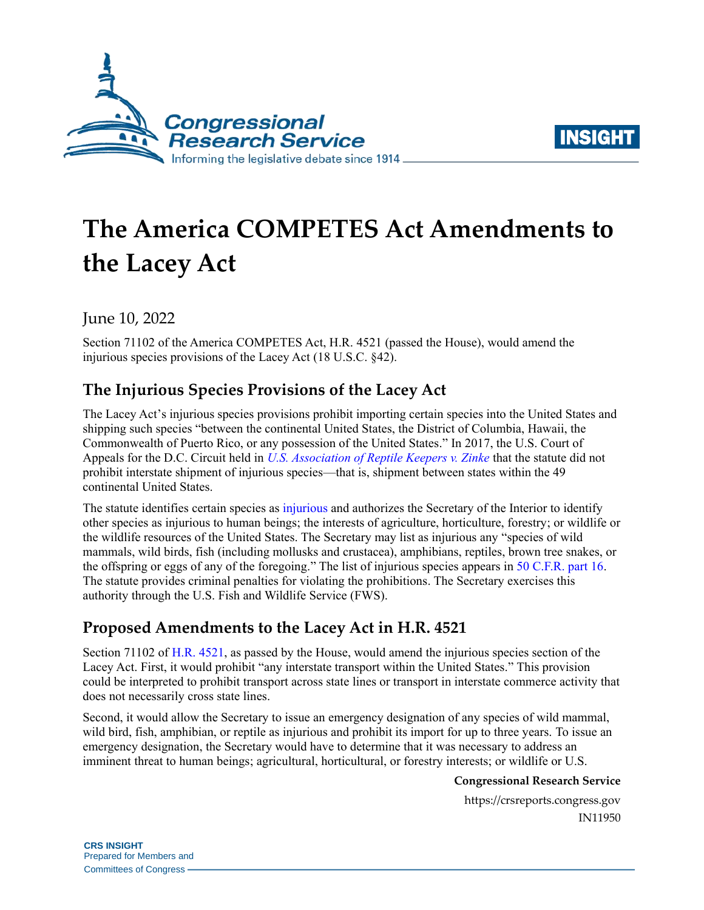



# **The America COMPETES Act Amendments to the Lacey Act**

June 10, 2022

Section 71102 of the America COMPETES Act, H.R. 4521 (passed the House), would amend the injurious species provisions of the Lacey Act (18 U.S.C. §42).

# **The Injurious Species Provisions of the Lacey Act**

The Lacey Act's injurious species provisions prohibit importing certain species into the United States and shipping such species "between the continental United States, the District of Columbia, Hawaii, the Commonwealth of Puerto Rico, or any possession of the United States." In 2017, the U.S. Court of Appeals for the D.C. Circuit held in *[U.S. Association of Reptile Keepers v. Zinke](https://www.cadc.uscourts.gov/internet/opinions.nsf/9E95E7C071BFF167852580FB004D3B14/$file/15-5199-1670024.pdf)* that the statute did not prohibit interstate shipment of injurious species—that is, shipment between states within the 49 continental United States.

The statute identifies certain species as [injurious](https://uscode.house.gov/view.xhtml?req=(title:18%20section:42%20edition:prelim)%20OR%20(granuleid:USC-prelim-title18-section42)&f=treesort&edition=prelim&num=0&jumpTo=true) and authorizes the Secretary of the Interior to identify other species as injurious to human beings; the interests of agriculture, horticulture, forestry; or wildlife or the wildlife resources of the United States. The Secretary may list as injurious any "species of wild mammals, wild birds, fish (including mollusks and crustacea), amphibians, reptiles, brown tree snakes, or the offspring or eggs of any of the foregoing." The list of injurious species appears in [50 C.F.R. part 16.](https://www.ecfr.gov/current/title-50/chapter-I/subchapter-B/part-16?toc=1) The statute provides criminal penalties for violating the prohibitions. The Secretary exercises this authority through the U.S. Fish and Wildlife Service (FWS).

# **Proposed Amendments to the Lacey Act in H.R. 4521**

Section 71102 of [H.R. 4521,](https://www.congress.gov/bill/117th-congress/house-bill/4521/text/eh) as passed by the House, would amend the injurious species section of the Lacey Act. First, it would prohibit "any interstate transport within the United States." This provision could be interpreted to prohibit transport across state lines or transport in interstate commerce activity that does not necessarily cross state lines.

Second, it would allow the Secretary to issue an emergency designation of any species of wild mammal, wild bird, fish, amphibian, or reptile as injurious and prohibit its import for up to three years. To issue an emergency designation, the Secretary would have to determine that it was necessary to address an imminent threat to human beings; agricultural, horticultural, or forestry interests; or wildlife or U.S.

#### **Congressional Research Service**

https://crsreports.congress.gov IN11950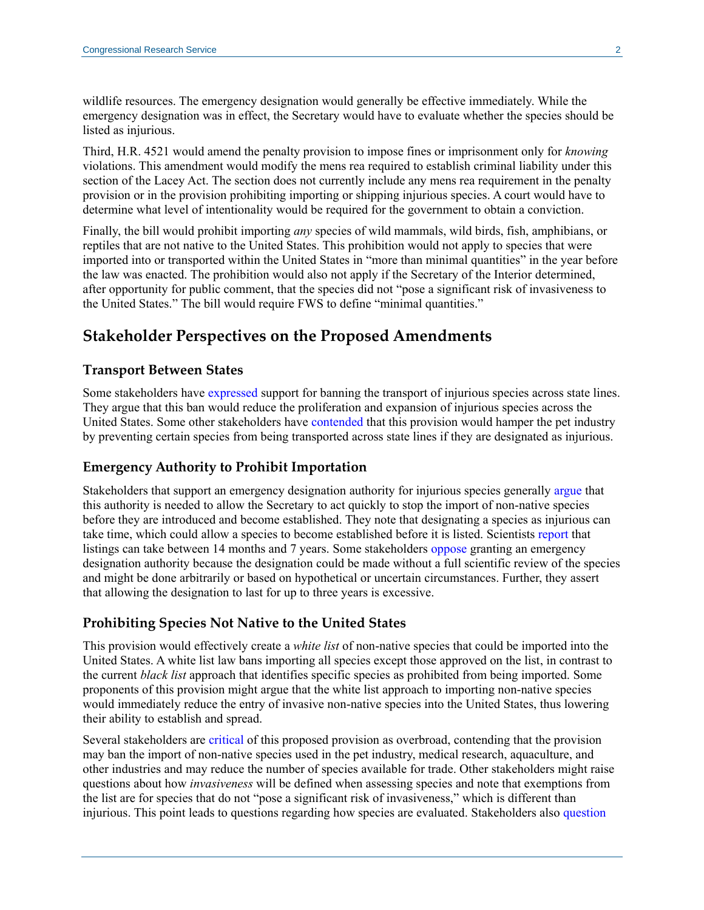wildlife resources. The emergency designation would generally be effective immediately. While the emergency designation was in effect, the Secretary would have to evaluate whether the species should be listed as injurious.

Third, H.R. 4521 would amend the penalty provision to impose fines or imprisonment only for *knowing*  violations. This amendment would modify the mens rea required to establish criminal liability under this section of the Lacey Act. The section does not currently include any mens rea requirement in the penalty provision or in the provision prohibiting importing or shipping injurious species. A court would have to determine what level of intentionality would be required for the government to obtain a conviction.

Finally, the bill would prohibit importing *any* species of wild mammals, wild birds, fish, amphibians, or reptiles that are not native to the United States. This prohibition would not apply to species that were imported into or transported within the United States in "more than minimal quantities" in the year before the law was enacted. The prohibition would also not apply if the Secretary of the Interior determined, after opportunity for public comment, that the species did not "pose a significant risk of invasiveness to the United States." The bill would require FWS to define "minimal quantities."

### **Stakeholder Perspectives on the Proposed Amendments**

#### **Transport Between States**

Some stakeholders have [expressed](https://awionline.org/sites/default/files/uploads/documents/22-COMPETES-Act.pdf) support for banning the transport of injurious species across state lines. They argue that this ban would reduce the proliferation and expansion of injurious species across the United States. Some other stakeholders have [contende](https://usark.org/2022lacey1/)d that this provision would hamper the pet industry by preventing certain species from being transported across state lines if they are designated as injurious.

#### **Emergency Authority to Prohibit Importation**

Stakeholders that support an emergency designation authority for injurious species generally [argue](https://awionline.org/sites/default/files/uploads/documents/22-COMPETES-Act.pdf) that this authority is needed to allow the Secretary to act quickly to stop the import of non-native species before they are introduced and become established. They note that designating a species as injurious can take time, which could allow a species to become established before it is listed. Scientists [report](https://www.reabic.net/journals/mbi/2021/3/MBI_2021_Jewell_Fuller.pdf) that listings can take between 14 months and 7 years. Some stakeholders [oppose](https://usark.org/2022lacey1/) granting an emergency designation authority because the designation could be made without a full scientific review of the species and might be done arbitrarily or based on hypothetical or uncertain circumstances. Further, they assert that allowing the designation to last for up to three years is excessive.

#### **Prohibiting Species Not Native to the United States**

This provision would effectively create a *white list* of non-native species that could be imported into the United States. A white list law bans importing all species except those approved on the list, in contrast to the current *black list* approach that identifies specific species as prohibited from being imported. Some proponents of this provision might argue that the white list approach to importing non-native species would immediately reduce the entry of invasive non-native species into the United States, thus lowering their ability to establish and spread.

Several stakeholders are [critical](https://www.reef2rainforest.com/2022/02/04/federal-legislation-threatens-pets-zoos-aquariums-and-biomedical-research/) of this proposed provision as overbroad, contending that the provision may ban the import of non-native species used in the pet industry, medical research, aquaculture, and other industries and may reduce the number of species available for trade. Other stakeholders might raise questions about how *invasiveness* will be defined when assessing species and note that exemptions from the list are for species that do not "pose a significant risk of invasiveness," which is different than injurious. This point leads to questions regarding how species are evaluated. Stakeholders also [question](https://www.reef2rainforest.com/2022/02/04/federal-legislation-threatens-pets-zoos-aquariums-and-biomedical-research/)